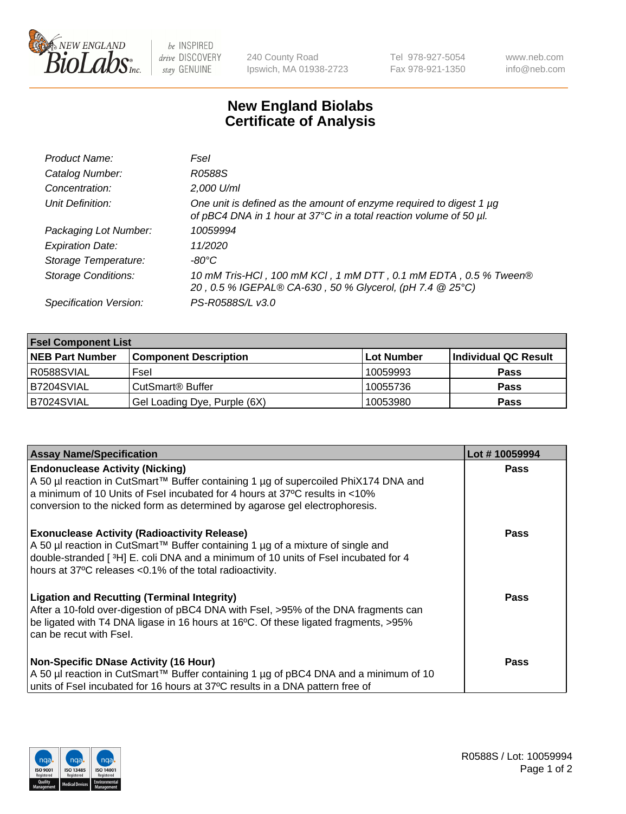

 $be$  INSPIRED drive DISCOVERY stay GENUINE

240 County Road Ipswich, MA 01938-2723 Tel 978-927-5054 Fax 978-921-1350 www.neb.com info@neb.com

## **New England Biolabs Certificate of Analysis**

| Product Name:              | Fsel                                                                                                                                      |
|----------------------------|-------------------------------------------------------------------------------------------------------------------------------------------|
| Catalog Number:            | R0588S                                                                                                                                    |
| Concentration:             | 2,000 U/ml                                                                                                                                |
| Unit Definition:           | One unit is defined as the amount of enzyme required to digest 1 µg<br>of pBC4 DNA in 1 hour at 37°C in a total reaction volume of 50 µl. |
| Packaging Lot Number:      | 10059994                                                                                                                                  |
| <b>Expiration Date:</b>    | 11/2020                                                                                                                                   |
| Storage Temperature:       | -80°C                                                                                                                                     |
| <b>Storage Conditions:</b> | 10 mM Tris-HCl, 100 mM KCl, 1 mM DTT, 0.1 mM EDTA, 0.5 % Tween®<br>20, 0.5 % IGEPAL® CA-630, 50 % Glycerol, (pH 7.4 @ 25°C)               |
| Specification Version:     | PS-R0588S/L v3.0                                                                                                                          |

| <b>Fsel Component List</b> |                              |            |                      |  |  |
|----------------------------|------------------------------|------------|----------------------|--|--|
| <b>NEB Part Number</b>     | <b>Component Description</b> | Lot Number | Individual QC Result |  |  |
| R0588SVIAL                 | Fsel                         | 10059993   | <b>Pass</b>          |  |  |
| B7204SVIAL                 | CutSmart <sup>®</sup> Buffer | 10055736   | <b>Pass</b>          |  |  |
| B7024SVIAL                 | Gel Loading Dye, Purple (6X) | 10053980   | <b>Pass</b>          |  |  |

| <b>Assay Name/Specification</b>                                                                                                                                                                                                                                                             | Lot #10059994 |
|---------------------------------------------------------------------------------------------------------------------------------------------------------------------------------------------------------------------------------------------------------------------------------------------|---------------|
| <b>Endonuclease Activity (Nicking)</b><br>A 50 µl reaction in CutSmart™ Buffer containing 1 µg of supercoiled PhiX174 DNA and<br>a minimum of 10 Units of Fsel incubated for 4 hours at 37°C results in <10%<br>conversion to the nicked form as determined by agarose gel electrophoresis. | <b>Pass</b>   |
| <b>Exonuclease Activity (Radioactivity Release)</b><br>A 50 µl reaction in CutSmart™ Buffer containing 1 µg of a mixture of single and<br>double-stranded [3H] E. coli DNA and a minimum of 10 units of Fsel incubated for 4<br>hours at 37°C releases <0.1% of the total radioactivity.    | Pass          |
| <b>Ligation and Recutting (Terminal Integrity)</b><br>After a 10-fold over-digestion of pBC4 DNA with Fsel, >95% of the DNA fragments can<br>be ligated with T4 DNA ligase in 16 hours at 16°C. Of these ligated fragments, >95%<br>can be recut with Fsel.                                 | Pass          |
| <b>Non-Specific DNase Activity (16 Hour)</b><br>A 50 µl reaction in CutSmart™ Buffer containing 1 µg of pBC4 DNA and a minimum of 10<br>units of Fsel incubated for 16 hours at 37°C results in a DNA pattern free of                                                                       | Pass          |